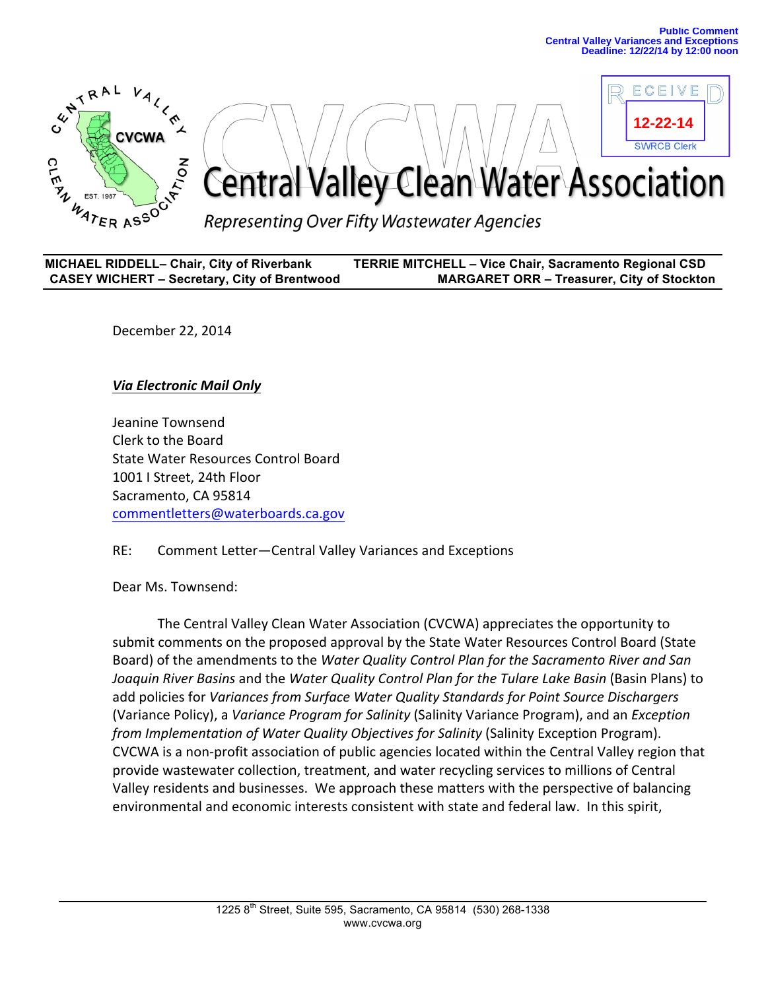**12-22-14**

**SWRCB Clerk** 

 $C F W$ 



| <b>MICHAEL RIDDELL- Chair, City of Riverbank</b>    | <b>TERRIE MITCHELL - Vice Chair, Sacramento Regional CSD</b> |
|-----------------------------------------------------|--------------------------------------------------------------|
| <b>CASEY WICHERT - Secretary, City of Brentwood</b> | <b>MARGARET ORR - Treasurer, City of Stockton</b>            |

December 22, 2014

## *Via\$Electronic Mail Only\$*

Jeanine Townsend Clerk to the Board State Water Resources Control Board 1001 I Street, 24th Floor Sacramento, CA 95814 commentletters@waterboards.ca.gov

## RE: Comment Letter-Central Valley Variances and Exceptions

Dear Ms. Townsend:

The Central Valley Clean Water Association (CVCWA) appreciates the opportunity to submit comments on the proposed approval by the State Water Resources Control Board (State) Board) of the amendments to the *Water Quality Control Plan for the Sacramento River and San* Joaquin River Basins and the *Water Quality Control Plan for the Tulare Lake Basin* (Basin Plans) to add policies for *Variances from Surface Water Quality Standards for Point Source Dischargers* (Variance Policy), a *Variance Program for Salinity* (Salinity Variance Program), and an *Exception from Implementation of Water Quality Objectives for Salinity* (Salinity Exception Program). CVCWA is a non-profit association of public agencies located within the Central Valley region that provide wastewater collection, treatment, and water recycling services to millions of Central Valley residents and businesses. We approach these matters with the perspective of balancing environmental and economic interests consistent with state and federal law. In this spirit,